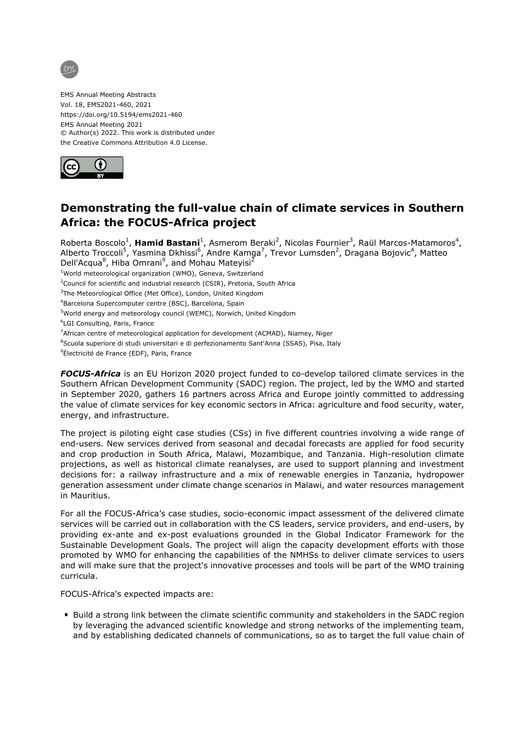

EMS Annual Meeting Abstracts Vol. 18, EMS2021-460, 2021 https://doi.org/10.5194/ems2021-460 EMS Annual Meeting 2021 © Author(s) 2022. This work is distributed under the Creative Commons Attribution 4.0 License.



## **Demonstrating the full-value chain of climate services in Southern Africa: the FOCUS-Africa project**

Roberta Boscolo<sup>1</sup>, **Hamid Bastani**<sup>1</sup>, Asmerom Beraki<sup>2</sup>, Nicolas Fournier<sup>3</sup>, Raül Marcos-Matamoros<sup>4</sup>, Alberto Troccoli<sup>5</sup>, Yasmina Dkhissi<sup>6</sup>, Andre Kamga<sup>7</sup>, Trevor Lumsden<sup>2</sup>, Dragana Bojovic<sup>4</sup>, Matteo Dell'Acqua<sup>8</sup>, Hiba Omrani<sup>9</sup>, and Mohau Mateyisi<sup>2</sup>

<sup>1</sup>World meteorological organization (WMO), Geneva, Switzerland

 $2$ Council for scientific and industrial research (CSIR), Pretoria, South Africa

<sup>3</sup>The Meteorological Office (Met Office), London, United Kingdom

<sup>4</sup>Barcelona Supercomputer centre (BSC), Barcelona, Spain

<sup>5</sup>World energy and meteorology council (WEMC), Norwich, United Kingdom

<sup>6</sup>LGI Consulting, Paris, France

<sup>7</sup>African centre of meteorological application for development (ACMAD), Niamey, Niger

<sup>8</sup>Scuola superiore di studi universitari e di perfezionamento Sant'Anna (SSAS), Pisa, Italy

<sup>9</sup>Électricité de France (EDF), Paris, France

*FOCUS-Africa* is an EU Horizon 2020 project funded to co-develop tailored climate services in the Southern African Development Community (SADC) region. The project, led by the WMO and started in September 2020, gathers 16 partners across Africa and Europe jointly committed to addressing the value of climate services for key economic sectors in Africa: agriculture and food security, water, energy, and infrastructure.

The project is piloting eight case studies (CSs) in five different countries involving a wide range of end-users. New services derived from seasonal and decadal forecasts are applied for food security and crop production in South Africa, Malawi, Mozambique, and Tanzania. High-resolution climate projections, as well as historical climate reanalyses, are used to support planning and investment decisions for: a railway infrastructure and a mix of renewable energies in Tanzania, hydropower generation assessment under climate change scenarios in Malawi, and water resources management in Mauritius.

For all the FOCUS-Africa's case studies, socio-economic impact assessment of the delivered climate services will be carried out in collaboration with the CS leaders, service providers, and end-users, by providing ex-ante and ex-post evaluations grounded in the Global Indicator Framework for the Sustainable Development Goals. The project will align the capacity development efforts with those promoted by WMO for enhancing the capabilities of the NMHSs to deliver climate services to users and will make sure that the project's innovative processes and tools will be part of the WMO training curricula.

FOCUS-Africa's expected impacts are:

Build a strong link between the climate scientific community and stakeholders in the SADC region by leveraging the advanced scientific knowledge and strong networks of the implementing team, and by establishing dedicated channels of communications, so as to target the full value chain of